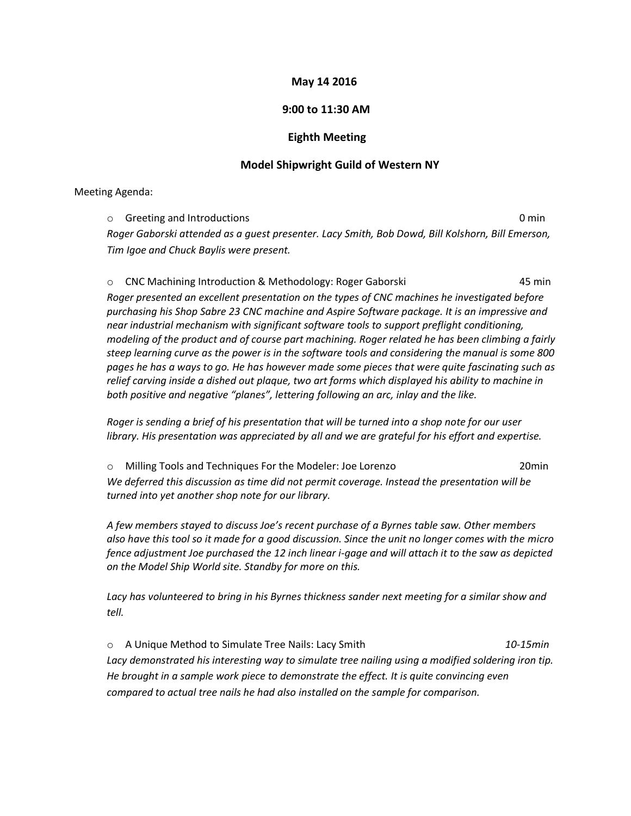## **May 14 2016**

## **9:00 to 11:30 AM**

## **Eighth Meeting**

## **Model Shipwright Guild of Western NY**

Meeting Agenda:

o Greeting and Introductions 0 min *Roger Gaborski attended as a guest presenter. Lacy Smith, Bob Dowd, Bill Kolshorn, Bill Emerson, Tim Igoe and Chuck Baylis were present.*

o CNC Machining Introduction & Methodology: Roger Gaborski 45 min *Roger presented an excellent presentation on the types of CNC machines he investigated before purchasing his Shop Sabre 23 CNC machine and Aspire Software package. It is an impressive and near industrial mechanism with significant software tools to support preflight conditioning, modeling of the product and of course part machining. Roger related he has been climbing a fairly steep learning curve as the power is in the software tools and considering the manual is some 800 pages he has a ways to go. He has however made some pieces that were quite fascinating such as relief carving inside a dished out plaque, two art forms which displayed his ability to machine in both positive and negative "planes", lettering following an arc, inlay and the like.*

*Roger is sending a brief of his presentation that will be turned into a shop note for our user library. His presentation was appreciated by all and we are grateful for his effort and expertise.*

o Milling Tools and Techniques For the Modeler: Joe Lorenzo 20min We deferred this discussion as time did not permit coverage. Instead the presentation will be *turned into yet another shop note for our library.*

*A few members stayed to discuss Joe's recent purchase of a Byrnes table saw. Other members also have this tool so it made for a good discussion. Since the unit no longer comes with the micro fence adjustment Joe purchased the 12 inch linear i-gage and will attach it to the saw as depicted on the Model Ship World site. Standby for more on this.*

*Lacy has volunteered to bring in his Byrnes thickness sander next meeting for a similar show and tell.*

o A Unique Method to Simulate Tree Nails: Lacy Smith *10-15min Lacy demonstrated his interesting way to simulate tree nailing using a modified soldering iron tip. He brought in a sample work piece to demonstrate the effect. It is quite convincing even compared to actual tree nails he had also installed on the sample for comparison.*